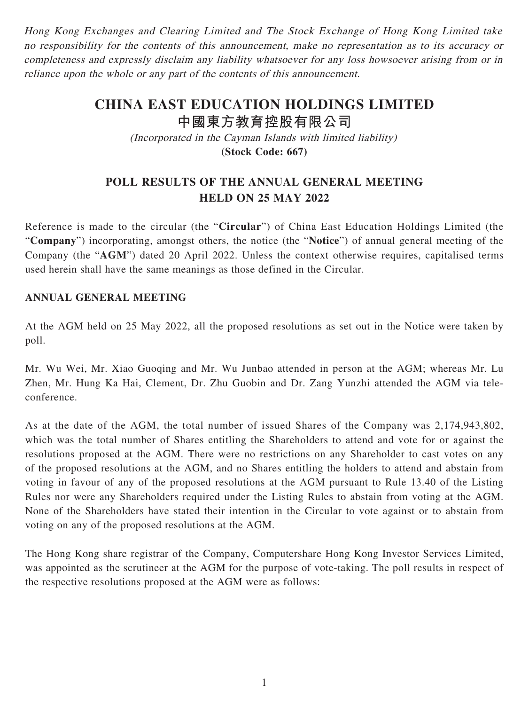Hong Kong Exchanges and Clearing Limited and The Stock Exchange of Hong Kong Limited take no responsibility for the contents of this announcement, make no representation as to its accuracy or completeness and expressly disclaim any liability whatsoever for any loss howsoever arising from or in reliance upon the whole or any part of the contents of this announcement.

## **CHINA EAST EDUCATION HOLDINGS LIMITED 中國東方教育控股有限公司**

(Incorporated in the Cayman Islands with limited liability)

**(Stock Code: 667)**

## **POLL RESULTS OF THE ANNUAL GENERAL MEETING HELD ON 25 MAY 2022**

Reference is made to the circular (the "**Circular**") of China East Education Holdings Limited (the "**Company**") incorporating, amongst others, the notice (the "**Notice**") of annual general meeting of the Company (the "**AGM**") dated 20 April 2022. Unless the context otherwise requires, capitalised terms used herein shall have the same meanings as those defined in the Circular.

## **ANNUAL GENERAL MEETING**

At the AGM held on 25 May 2022, all the proposed resolutions as set out in the Notice were taken by poll.

Mr. Wu Wei, Mr. Xiao Guoqing and Mr. Wu Junbao attended in person at the AGM; whereas Mr. Lu Zhen, Mr. Hung Ka Hai, Clement, Dr. Zhu Guobin and Dr. Zang Yunzhi attended the AGM via teleconference.

As at the date of the AGM, the total number of issued Shares of the Company was 2,174,943,802, which was the total number of Shares entitling the Shareholders to attend and vote for or against the resolutions proposed at the AGM. There were no restrictions on any Shareholder to cast votes on any of the proposed resolutions at the AGM, and no Shares entitling the holders to attend and abstain from voting in favour of any of the proposed resolutions at the AGM pursuant to Rule 13.40 of the Listing Rules nor were any Shareholders required under the Listing Rules to abstain from voting at the AGM. None of the Shareholders have stated their intention in the Circular to vote against or to abstain from voting on any of the proposed resolutions at the AGM.

The Hong Kong share registrar of the Company, Computershare Hong Kong Investor Services Limited, was appointed as the scrutineer at the AGM for the purpose of vote-taking. The poll results in respect of the respective resolutions proposed at the AGM were as follows: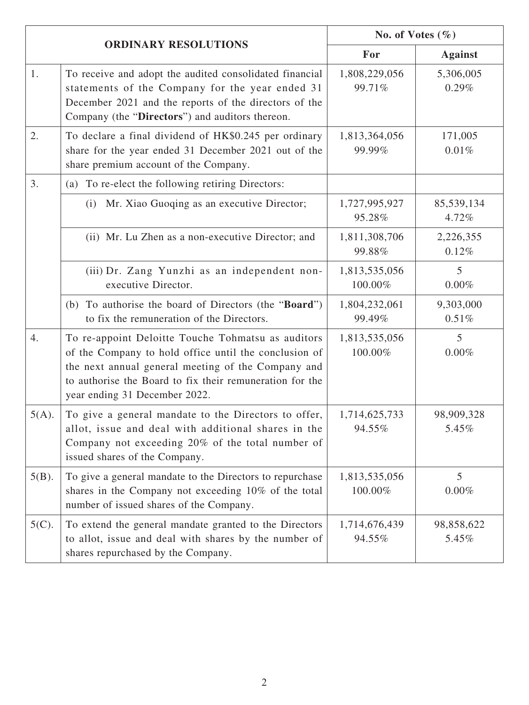| <b>ORDINARY RESOLUTIONS</b> |                                                                                                                                                                                                                                                                | No. of Votes $(\% )$     |                            |
|-----------------------------|----------------------------------------------------------------------------------------------------------------------------------------------------------------------------------------------------------------------------------------------------------------|--------------------------|----------------------------|
|                             |                                                                                                                                                                                                                                                                | For                      | <b>Against</b>             |
| 1.                          | To receive and adopt the audited consolidated financial<br>statements of the Company for the year ended 31<br>December 2021 and the reports of the directors of the<br>Company (the "Directors") and auditors thereon.                                         | 1,808,229,056<br>99.71%  | 5,306,005<br>0.29%         |
| 2.                          | To declare a final dividend of HK\$0.245 per ordinary<br>share for the year ended 31 December 2021 out of the<br>share premium account of the Company.                                                                                                         | 1,813,364,056<br>99.99%  | 171,005<br>0.01%           |
| 3.                          | (a) To re-elect the following retiring Directors:                                                                                                                                                                                                              |                          |                            |
|                             | Mr. Xiao Guoqing as an executive Director;<br>(i)                                                                                                                                                                                                              | 1,727,995,927<br>95.28%  | 85,539,134<br>4.72%        |
|                             | (ii) Mr. Lu Zhen as a non-executive Director; and                                                                                                                                                                                                              | 1,811,308,706<br>99.88%  | 2,226,355<br>0.12%         |
|                             | (iii) Dr. Zang Yunzhi as an independent non-<br>executive Director.                                                                                                                                                                                            | 1,813,535,056<br>100.00% | $\overline{5}$<br>0.00%    |
|                             | (b) To authorise the board of Directors (the " <b>Board</b> ")<br>to fix the remuneration of the Directors.                                                                                                                                                    | 1,804,232,061<br>99.49%  | 9,303,000<br>0.51%         |
| 4.                          | To re-appoint Deloitte Touche Tohmatsu as auditors<br>of the Company to hold office until the conclusion of<br>the next annual general meeting of the Company and<br>to authorise the Board to fix their remuneration for the<br>year ending 31 December 2022. | 1,813,535,056<br>100.00% | 5<br>0.00%                 |
| $5(A)$ .                    | To give a general mandate to the Directors to offer,<br>allot, issue and deal with additional shares in the<br>Company not exceeding 20% of the total number of<br>issued shares of the Company.                                                               | 1,714,625,733<br>94.55%  | 98,909,328<br>5.45%        |
| $5(B)$ .                    | To give a general mandate to the Directors to repurchase<br>shares in the Company not exceeding 10% of the total<br>number of issued shares of the Company.                                                                                                    | 1,813,535,056<br>100.00% | 5 <sup>5</sup><br>$0.00\%$ |
| $5(C)$ .                    | To extend the general mandate granted to the Directors<br>to allot, issue and deal with shares by the number of<br>shares repurchased by the Company.                                                                                                          | 1,714,676,439<br>94.55%  | 98,858,622<br>5.45%        |